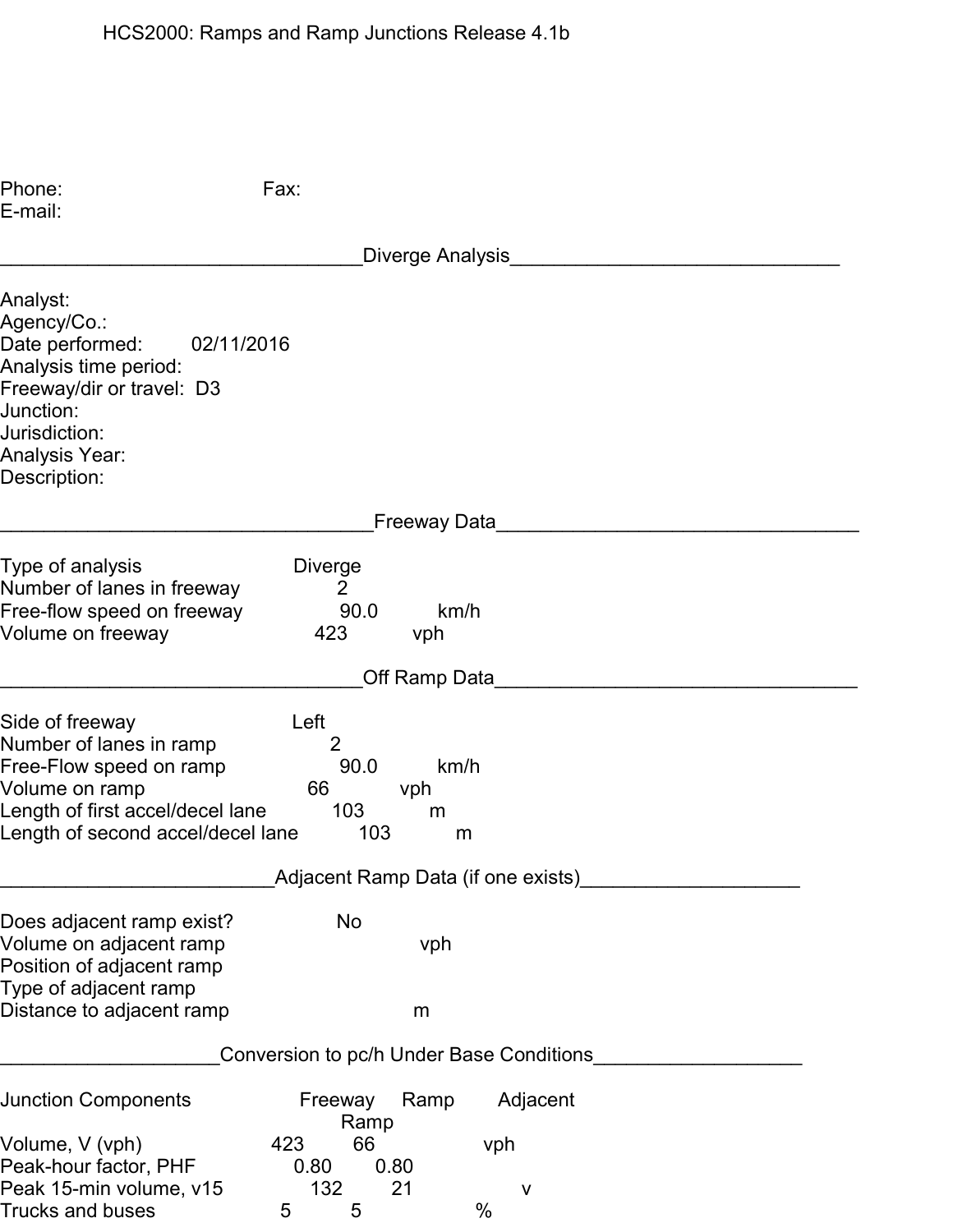| Phone:<br>E-mail:                                                                                                                                                                     | Fax:                                                                            |
|---------------------------------------------------------------------------------------------------------------------------------------------------------------------------------------|---------------------------------------------------------------------------------|
|                                                                                                                                                                                       | Diverge Analysis                                                                |
| Analyst:<br>Agency/Co.:<br>Date performed:<br>02/11/2016<br>Analysis time period:<br>Freeway/dir or travel: D3<br>Junction:<br>Jurisdiction:<br><b>Analysis Year:</b><br>Description: |                                                                                 |
|                                                                                                                                                                                       | Freeway Data                                                                    |
| Type of analysis<br>Number of lanes in freeway<br>Free-flow speed on freeway<br>Volume on freeway                                                                                     | <b>Diverge</b><br>2<br>90.0<br>km/h<br>423<br>vph                               |
|                                                                                                                                                                                       | Off Ramp Data                                                                   |
| Side of freeway<br>Number of lanes in ramp<br>Free-Flow speed on ramp<br>Volume on ramp<br>Length of first accel/decel lane<br>Length of second accel/decel lane                      | Left<br>$\overline{2}$<br>90.0<br>km/h<br>66<br>vph<br>103<br>m<br>103<br>m     |
|                                                                                                                                                                                       | Adjacent Ramp Data (if one exists)                                              |
| Does adjacent ramp exist?<br>Volume on adjacent ramp<br>Position of adjacent ramp<br>Type of adjacent ramp<br>Distance to adjacent ramp                                               | <b>No</b><br>vph<br>m                                                           |
|                                                                                                                                                                                       | Conversion to pc/h Under Base Conditions_                                       |
| <b>Junction Components</b>                                                                                                                                                            | Adjacent<br>Freeway<br>Ramp<br>Ramp                                             |
| Volume, V (vph)<br>Peak-hour factor, PHF<br>Peak 15-min volume, v15<br>Trucks and buses                                                                                               | 66<br>423<br>vph<br>0.80<br>0.80<br>132<br>21<br>$\mathsf{V}$<br>$\%$<br>5<br>5 |